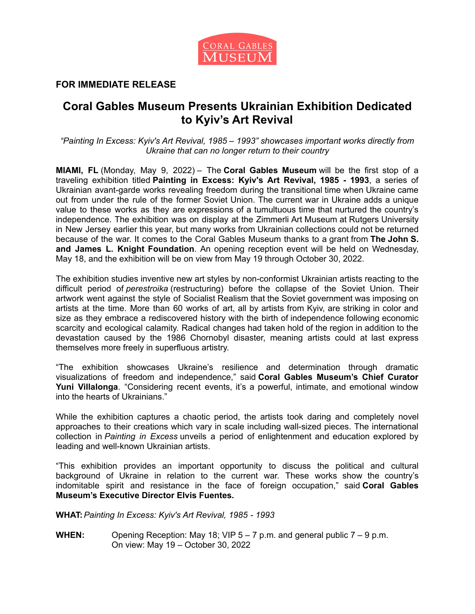

## **FOR IMMEDIATE RELEASE**

# **Coral Gables Museum Presents Ukrainian Exhibition Dedicated to Kyiv's Art Revival**

*"Painting In Excess: Kyiv's Art Revival, 1985 – 1993" showcases important works directly from Ukraine that can no longer return to their country*

**MIAMI, FL** (Monday, May 9, 2022) – The **Coral Gables Museum** will be the first stop of a traveling exhibition titled **Painting in Excess: Kyiv's Art Revival, 1985 - 1993**, a series of Ukrainian avant-garde works revealing freedom during the transitional time when Ukraine came out from under the rule of the former Soviet Union. The current war in Ukraine adds a unique value to these works as they are expressions of a tumultuous time that nurtured the country's independence. The exhibition was on display at the Zimmerli Art Museum at Rutgers University in New Jersey earlier this year, but many works from Ukrainian collections could not be returned because of the war. It comes to the Coral Gables Museum thanks to a grant from **The John S. and James L. Knight Foundation**. An opening reception event will be held on Wednesday, May 18, and the exhibition will be on view from May 19 through October 30, 2022.

The exhibition studies inventive new art styles by non-conformist Ukrainian artists reacting to the difficult period of *perestroika* (restructuring) before the collapse of the Soviet Union. Their artwork went against the style of Socialist Realism that the Soviet government was imposing on artists at the time. More than 60 works of art, all by artists from Kyiv, are striking in color and size as they embrace a rediscovered history with the birth of independence following economic scarcity and ecological calamity. Radical changes had taken hold of the region in addition to the devastation caused by the 1986 Chornobyl disaster, meaning artists could at last express themselves more freely in superfluous artistry.

"The exhibition showcases Ukraine's resilience and determination through dramatic visualizations of freedom and independence," said **Coral Gables Museum's Chief Curator Yuni Villalonga**. "Considering recent events, it's a powerful, intimate, and emotional window into the hearts of Ukrainians."

While the exhibition captures a chaotic period, the artists took daring and completely novel approaches to their creations which vary in scale including wall-sized pieces. The international collection in *Painting in Excess* unveils a period of enlightenment and education explored by leading and well-known Ukrainian artists.

"This exhibition provides an important opportunity to discuss the political and cultural background of Ukraine in relation to the current war. These works show the country's indomitable spirit and resistance in the face of foreign occupation," said **Coral Gables Museum's Executive Director Elvis Fuentes.**

**WHAT:***Painting In Excess: Kyiv's Art Revival, 1985 - 1993*

**WHEN:** Opening Reception: May 18; VIP 5 – 7 p.m. and general public 7 – 9 p.m. On view: May 19 – October 30, 2022